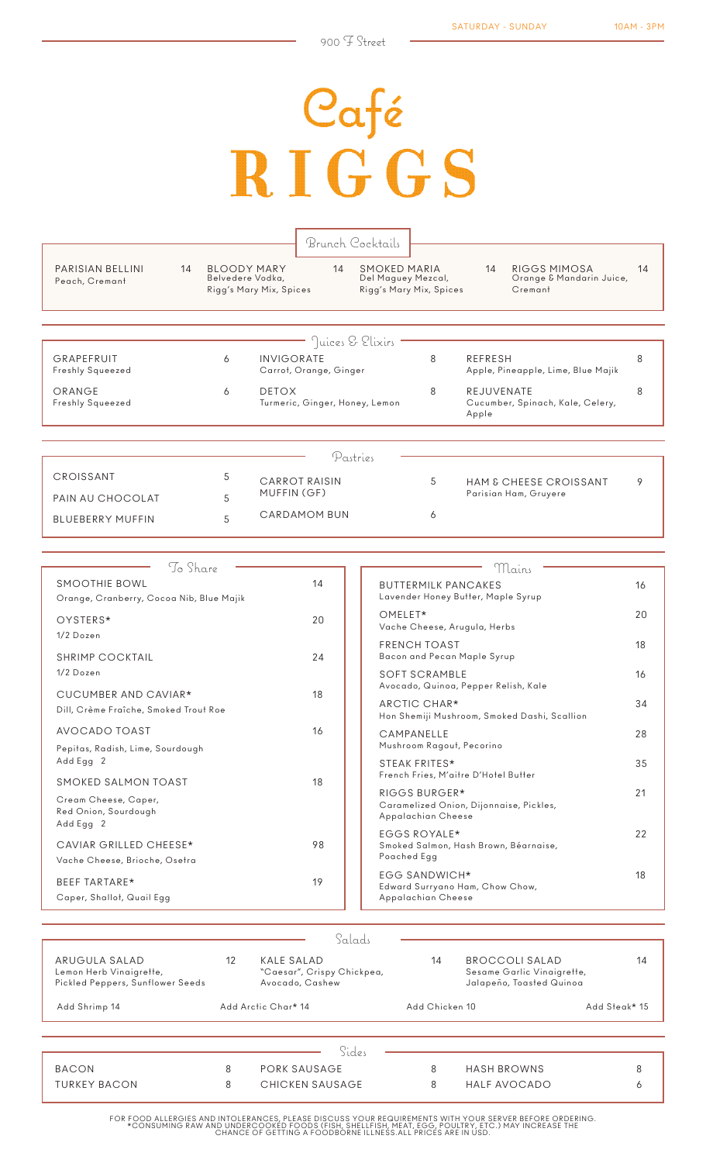## Pafé<br>RIGGS

|                                    |    |   |                                                                   |                                | Brunch Cocktails                          |                         |                     |                                                     |    |
|------------------------------------|----|---|-------------------------------------------------------------------|--------------------------------|-------------------------------------------|-------------------------|---------------------|-----------------------------------------------------|----|
| PARISIAN BELLINI<br>Peach, Cremant | 14 |   | <b>BLOODY MARY</b><br>Belvedere Vodka,<br>Rigg's Mary Mix, Spices | 14                             | <b>SMOKED MARIA</b><br>Del Maguey Mezcal, | Rigg's Mary Mix, Spices | 14                  | RIGGS MIMOSA<br>Orange & Mandarin Juice,<br>Cremant | 14 |
|                                    |    |   |                                                                   |                                | Juices & Elixirs                          |                         |                     |                                                     |    |
| GRAPEFRUIT                         |    | 6 | <b>INVIGORATE</b>                                                 |                                |                                           | 8                       | <b>REFRESH</b>      |                                                     | 8  |
| Freshly Squeezed                   |    |   |                                                                   | Carrot, Orange, Ginger         |                                           |                         |                     | Apple, Pineapple, Lime, Blue Majik                  |    |
| ORANGE<br>Freshly Squeezed         |    | 6 | <b>DETOX</b>                                                      | Turmeric, Ginger, Honey, Lemon |                                           | 8                       | REJUVENATE<br>Apple | Cucumber, Spinach, Kale, Celery,                    | 8  |
|                                    |    |   |                                                                   |                                |                                           |                         |                     |                                                     |    |
|                                    |    |   |                                                                   |                                | Pastries                                  |                         |                     |                                                     |    |
| CROISSANT                          |    | 5 |                                                                   | <b>CARROT RAISIN</b>           |                                           | 5                       |                     | <b>HAM &amp; CHEESE CROISSANT</b>                   | 9  |
| PAIN AU CHOCOLAT                   |    | 5 | MUFFIN (GF)                                                       |                                |                                           |                         |                     | Parisian Ham, Gruyere                               |    |
| <b>BLUEBERRY MUFFIN</b>            |    | 5 |                                                                   | <b>CARDAMOM BUN</b>            |                                           | 6                       |                     |                                                     |    |

| To Share                                                                         |    | Mains                                                                          |    |
|----------------------------------------------------------------------------------|----|--------------------------------------------------------------------------------|----|
| SMOOTHIE BOWL<br>Orange, Cranberry, Cocoa Nib, Blue Majik                        | 14 | <b>BUTTERMILK PANCAKES</b><br>Lavender Honey Butter, Maple Syrup               | 16 |
| OYSTERS*                                                                         | 20 | OMELET*<br>Vache Cheese, Arugula, Herbs                                        | 20 |
| $1/2$ Dozen<br><b>SHRIMP COCKTAIL</b>                                            | 24 | <b>FRENCH TOAST</b><br>Bacon and Pecan Maple Syrup                             | 18 |
| $1/2$ Dozen                                                                      |    | <b>SOFT SCRAMBLE</b><br>Avocado, Quinoa, Pepper Relish, Kale                   | 16 |
| CUCUMBER AND CAVIAR*<br>Dill, Crème Fraîche, Smoked Trout Roe                    | 18 | ARCTIC CHAR*<br>Hon Shemiji Mushroom, Smoked Dashi, Scallion                   | 34 |
| AVOCADO TOAST<br>Pepitas, Radish, Lime, Sourdough                                | 16 | CAMPANELLE<br>Mushroom Ragout, Pecorino                                        | 28 |
| Add Egg 2                                                                        |    | STEAK FRITES*<br>French Fries, M'aitre D'Hotel Butter                          | 35 |
| SMOKED SALMON TOAST<br>Cream Cheese, Caper,<br>Red Onion, Sourdough<br>Add Egg 2 | 18 | RIGGS BURGER*<br>Caramelized Onion, Dijonnaise, Pickles,<br>Appalachian Cheese | 21 |
| CAVIAR GRILLED CHEESE*<br>Vache Cheese, Brioche, Osetra                          | 98 | EGGS ROYALE*<br>Smoked Salmon, Hash Brown, Béarnaise,<br>Poached Egg           | 22 |
| BEEF TARTARE*<br>Caper, Shallot, Quail Egg                                       | 19 | <b>EGG SANDWICH*</b><br>Edward Surryano Ham, Chow Chow,<br>Appalachian Cheese  | 18 |

|                                                                              |    | Salads                                                      |                |                                                                          |               |
|------------------------------------------------------------------------------|----|-------------------------------------------------------------|----------------|--------------------------------------------------------------------------|---------------|
| ARUGULA SALAD<br>Lemon Herb Vinaigrette,<br>Pickled Peppers, Sunflower Seeds | 12 | KALE SALAD<br>"Caesar", Crispy Chickpea,<br>Avocado, Cashew | 14             | BROCCOLI SALAD<br>Sesame Garlic Vinaigrette,<br>Jalapeño, Toasted Quinoa | 14            |
| Add Shrimp 14                                                                |    | Add Arctic Char* 14                                         | Add Chicken 10 |                                                                          | Add Steak* 15 |
|                                                                              |    |                                                             |                |                                                                          |               |
|                                                                              |    | Sides                                                       |                |                                                                          |               |
| <b>BACON</b>                                                                 | 8  | PORK SAUSAGE                                                | 8              | <b>HASH BROWNS</b>                                                       | 8             |
| <b>TURKEY BACON</b>                                                          | 8  | CHICKEN SAUSAGE                                             | 8              | HALF AVOCADO                                                             | Ô             |

FOR FOOD ALLERGIES AND INTOLERANCES, PLEASE DISCUSS YOUR REQUIREMENTS WITH YOUR SERVER BEFORE ORDERING.<br>CONSUMING RAW AND UNDERCOOKED FOODS (FISH, SHELLFISH, MEAT, EGG, POULTRY, ETC.) MAY INCREASE THE\*\*\*<br>CHANCE OF GETTING